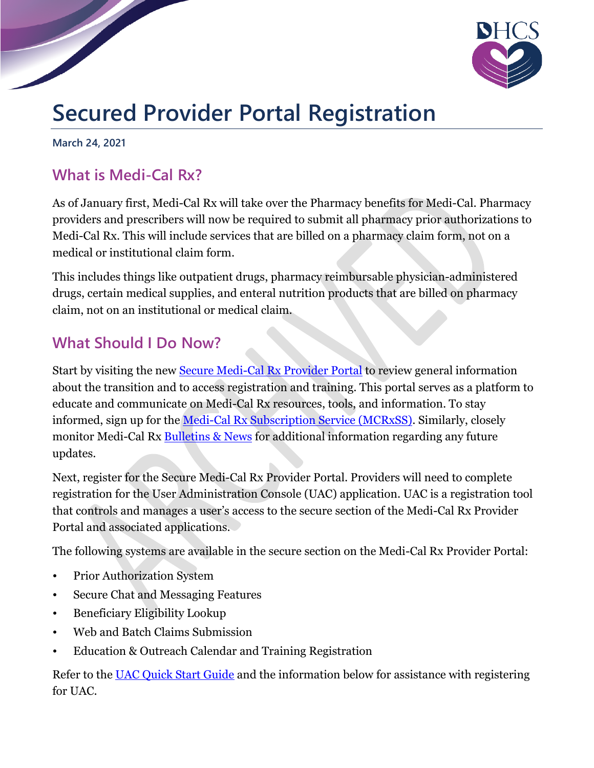

## **Secured Provider Portal Registration**

**March 24, 2021**

## **What is Medi-Cal Rx?**

As of January first, Medi-Cal Rx will take over the Pharmacy benefits for Medi-Cal. Pharmacy providers and prescribers will now be required to submit all pharmacy prior authorizations to Medi-Cal Rx. This will include services that are billed on a pharmacy claim form, not on a medical or institutional claim form.

This includes things like outpatient drugs, pharmacy reimbursable physician-administered drugs, certain medical supplies, and enteral nutrition products that are billed on pharmacy claim, not on an institutional or medical claim.

## **What Should I Do Now?**

Start by visiting the new Secure [Medi-Cal Rx Provider](https://medi-calrx.dhcs.ca.gov/home/) Portal to review general information about the transition and to access registration and training. This portal serves as a platform to educate and communicate on Medi-Cal Rx resources, tools, and information. To stay informed, sign up for the [Medi-Cal Rx Subscription Service \(MCRxSS\).](https://mcrxsspages.dhcs.ca.gov/Medi-CalRxDHCScagov-Subscription-Sign-Up) Similarly, closely monitor Medi-Cal Rx **Bulletins & News** for additional information regarding any future updates.

Next, register for the Secure Medi-Cal Rx Provider Portal. Providers will need to complete registration for the User Administration Console (UAC) application. UAC is a registration tool that controls and manages a user's access to the secure section of the Medi-Cal Rx Provider Portal and associated applications.

The following systems are available in the secure section on the Medi-Cal Rx Provider Portal:

- Prior Authorization System
- Secure Chat and Messaging Features
- Beneficiary Eligibility Lookup
- Web and Batch Claims Submission
- Education & Outreach Calendar and Training Registration

Refer to the [UAC Quick Start Guide](https://medi-calrx.dhcs.ca.gov/cms/medicalrx/static-assets/documents/education-and-outreach/2020.10_EOT_Medi-Cal_Rx_New_Registration_Quick_Start_Job_Aid_v1.1_10.21.2020.pdf) and the information below for assistance with registering for UAC.